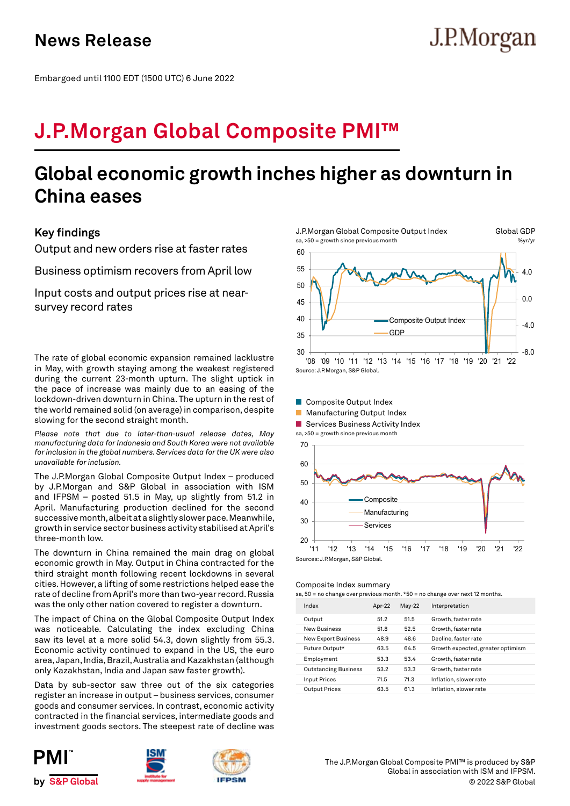# J.P.Morgan

Embargoed until 1100 EDT (1500 UTC) 6 June 2022

## **J.P.Morgan Global Composite PMI™**

## **Global economic growth inches higher as downturn in China eases**

## **Key findings**

Output and new orders rise at faster rates

Business optimism recovers from April low

Input costs and output prices rise at nearsurvey record rates

The rate of global economic expansion remained lacklustre in May, with growth staying among the weakest registered during the current 23-month upturn. The slight uptick in the pace of increase was mainly due to an easing of the lockdown-driven downturn in China. The upturn in the rest of the world remained solid (on average) in comparison, despite slowing for the second straight month.

*Please note that due to later-than-usual release dates, May manufacturing data for Indonesia and South Korea were not available for inclusion in the global numbers. Services data for the UK were also unavailable for inclusion.*

The J.P.Morgan Global Composite Output Index – produced by J.P.Morgan and S&P Global in association with ISM and IFPSM – posted 51.5 in May, up slightly from 51.2 in April. Manufacturing production declined for the second successive month, albeit at a slightly slower pace. Meanwhile, growth in service sector business activity stabilised at April's three-month low.

The downturn in China remained the main drag on global economic growth in May. Output in China contracted for the third straight month following recent lockdowns in several cities. However, a lifting of some restrictions helped ease the rate of decline from April's more than two-year record. Russia was the only other nation covered to register a downturn.

The impact of China on the Global Composite Output Index was noticeable. Calculating the index excluding China saw its level at a more solid 54.3, down slightly from 55.3. Economic activity continued to expand in the US, the euro area, Japan, India, Brazil, Australia and Kazakhstan (although only Kazakhstan, India and Japan saw faster growth).

Data by sub-sector saw three out of the six categories register an increase in output – business services, consumer goods and consumer services. In contrast, economic activity contracted in the financial services, intermediate goods and investment goods sectors. The steepest rate of decline was











Sources: J.P.Morgan, S&P Global.

## Composite Index summary

sa,  $50$  = no change over previous month. \*50 = no change over next 12 months

| Index                       | Apr-22 | $May-22$ | Interpretation                    |
|-----------------------------|--------|----------|-----------------------------------|
| Output                      | 51.2   | 51.5     | Growth, faster rate               |
| <b>New Business</b>         | 51.8   | 52.5     | Growth, faster rate               |
| <b>New Export Business</b>  | 48.9   | 48.6     | Decline, faster rate              |
| Future Output*              | 63.5   | 64.5     | Growth expected, greater optimism |
| Employment                  | 53.3   | 53.4     | Growth, faster rate               |
| <b>Outstanding Business</b> | 53.2   | 53.3     | Growth, faster rate               |
| <b>Input Prices</b>         | 71.5   | 71.3     | Inflation, slower rate            |
| <b>Output Prices</b>        | 63.5   | 61.3     | Inflation, slower rate            |
|                             |        |          |                                   |

© 2022 S&P Global The J.P.Morgan Global Composite PMI™ is produced by S&P Global in association with ISM and IFPSM.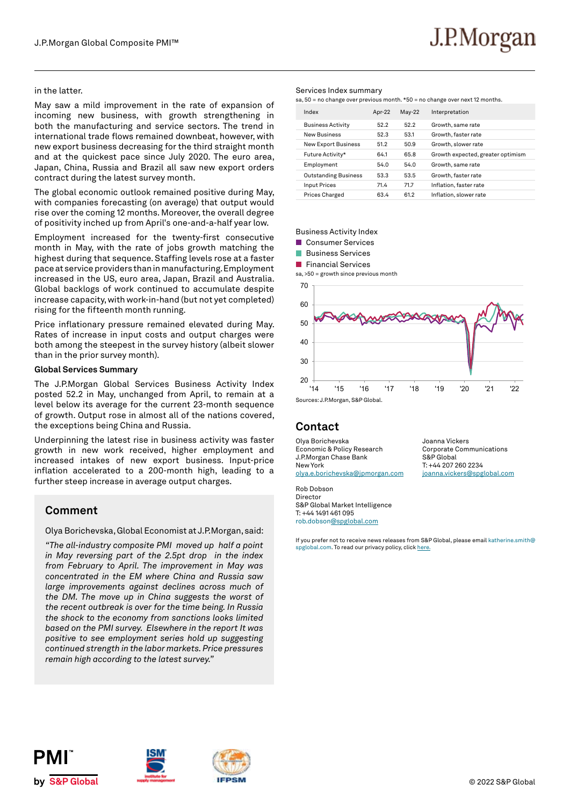## in the latter.

May saw a mild improvement in the rate of expansion of incoming new business, with growth strengthening in both the manufacturing and service sectors. The trend in international trade flows remained downbeat, however, with new export business decreasing for the third straight month and at the quickest pace since July 2020. The euro area, Japan, China, Russia and Brazil all saw new export orders contract during the latest survey month.

The global economic outlook remained positive during May, with companies forecasting (on average) that output would rise over the coming 12 months. Moreover, the overall degree of positivity inched up from April's one-and-a-half year low.

Employment increased for the twenty-first consecutive month in May, with the rate of jobs growth matching the highest during that sequence. Staffing levels rose at a faster pace at service providers than in manufacturing. Employment increased in the US, euro area, Japan, Brazil and Australia. Global backlogs of work continued to accumulate despite increase capacity, with work-in-hand (but not yet completed) rising for the fifteenth month running.

Price inflationary pressure remained elevated during May. Rates of increase in input costs and output charges were both among the steepest in the survey history (albeit slower than in the prior survey month).

## **Global Services Summary**

The J.P.Morgan Global Services Business Activity Index posted 52.2 in May, unchanged from April, to remain at a level below its average for the current 23-month sequence of growth. Output rose in almost all of the nations covered, the exceptions being China and Russia.

Underpinning the latest rise in business activity was faster growth in new work received, higher employment and increased intakes of new export business. Input-price inflation accelerated to a 200-month high, leading to a further steep increase in average output charges.

## **Comment**

Olya Borichevska, Global Economist at J.P.Morgan, said:

*"The all-industry composite PMI moved up half a point in May reversing part of the 2.5pt drop in the index from February to April. The improvement in May was concentrated in the EM where China and Russia saw large improvements against declines across much of the DM. The move up in China suggests the worst of the recent outbreak is over for the time being. In Russia the shock to the economy from sanctions looks limited based on the PMI survey. Elsewhere in the report It was positive to see employment series hold up suggesting continued strength in the labor markets. Price pressures remain high according to the latest survey."*

## Services Index summary

sa, 50 = no change over previous month. \*50 = no change over next 12 months.

| Index                       | Apr-22 | $May-22$ | Interpretation                    |
|-----------------------------|--------|----------|-----------------------------------|
| <b>Business Activity</b>    | 522    | 52.2     | Growth, same rate                 |
| <b>New Business</b>         | 52.3   | 53.1     | Growth, faster rate               |
| <b>New Export Business</b>  | 51.2   | 50.9     | Growth, slower rate               |
| Future Activity*            | 64.1   | 65.8     | Growth expected, greater optimism |
| Employment                  | 54.0   | 54.0     | Growth, same rate                 |
| <b>Outstanding Business</b> | 53.3   | 53.5     | Growth, faster rate               |
| <b>Input Prices</b>         | 71.4   | 717      | Inflation, faster rate            |
| Prices Charged              | 63.4   | 61.2     | Inflation, slower rate            |

## Business Activity Index

**Consumer Services** 

- **Business Services**
- **Financial Services**

sa, >50 = growth since previous month



## **Contact**

Olya Borichevska Economic & Policy Research J.P.Morgan Chase Bank New York olya.e.borichevska@jpmorgan.com

Joanna Vickers Corporate Communications S&P Global T: +44 207 260 2234 joanna.vickers@spglobal.com

Rob Dobson Director S&P Global Market Intelligence T: +44 1491 461 095 rob.dobson@spglobal.com

If you prefer not to receive news releases from S&P Global, please email katherine.smith@ spglobal.com. To read our privacy policy, click here.